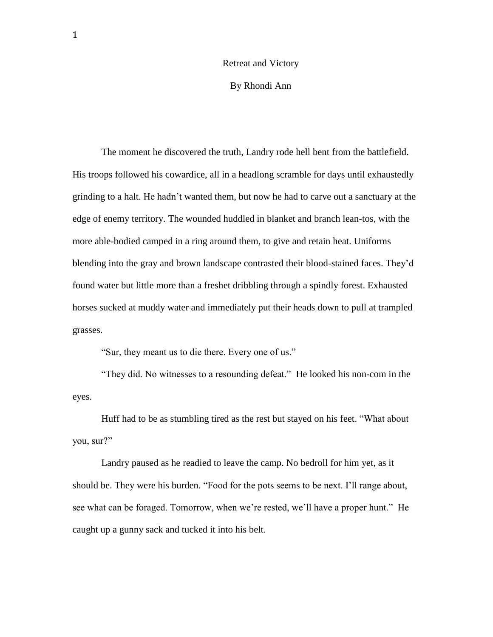## Retreat and Victory

By Rhondi Ann

The moment he discovered the truth, Landry rode hell bent from the battlefield. His troops followed his cowardice, all in a headlong scramble for days until exhaustedly grinding to a halt. He hadn't wanted them, but now he had to carve out a sanctuary at the edge of enemy territory. The wounded huddled in blanket and branch lean-tos, with the more able-bodied camped in a ring around them, to give and retain heat. Uniforms blending into the gray and brown landscape contrasted their blood-stained faces. They'd found water but little more than a freshet dribbling through a spindly forest. Exhausted horses sucked at muddy water and immediately put their heads down to pull at trampled grasses.

"Sur, they meant us to die there. Every one of us."

"They did. No witnesses to a resounding defeat." He looked his non-com in the eyes.

Huff had to be as stumbling tired as the rest but stayed on his feet. "What about you, sur?"

Landry paused as he readied to leave the camp. No bedroll for him yet, as it should be. They were his burden. "Food for the pots seems to be next. I'll range about, see what can be foraged. Tomorrow, when we're rested, we'll have a proper hunt." He caught up a gunny sack and tucked it into his belt.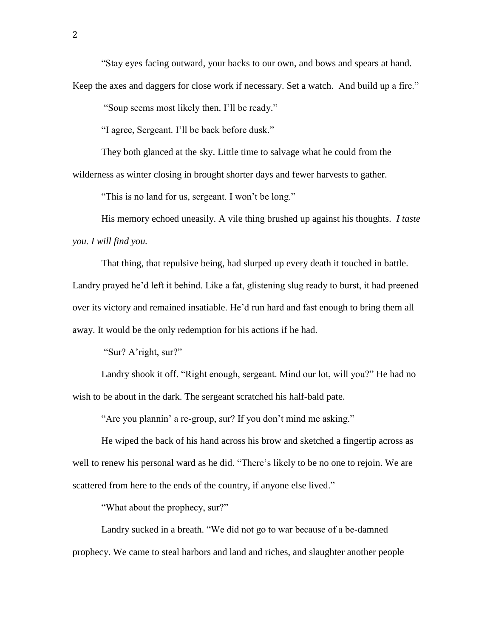"Stay eyes facing outward, your backs to our own, and bows and spears at hand.

Keep the axes and daggers for close work if necessary. Set a watch. And build up a fire."

"Soup seems most likely then. I'll be ready."

"I agree, Sergeant. I'll be back before dusk."

They both glanced at the sky. Little time to salvage what he could from the

wilderness as winter closing in brought shorter days and fewer harvests to gather.

"This is no land for us, sergeant. I won't be long."

His memory echoed uneasily. A vile thing brushed up against his thoughts. *I taste you. I will find you.*

That thing, that repulsive being, had slurped up every death it touched in battle. Landry prayed he'd left it behind. Like a fat, glistening slug ready to burst, it had preened over its victory and remained insatiable. He'd run hard and fast enough to bring them all away. It would be the only redemption for his actions if he had.

"Sur? A'right, sur?"

Landry shook it off. "Right enough, sergeant. Mind our lot, will you?" He had no wish to be about in the dark. The sergeant scratched his half-bald pate.

"Are you plannin' a re-group, sur? If you don't mind me asking."

He wiped the back of his hand across his brow and sketched a fingertip across as well to renew his personal ward as he did. "There's likely to be no one to rejoin. We are scattered from here to the ends of the country, if anyone else lived."

"What about the prophecy, sur?"

Landry sucked in a breath. "We did not go to war because of a be-damned prophecy. We came to steal harbors and land and riches, and slaughter another people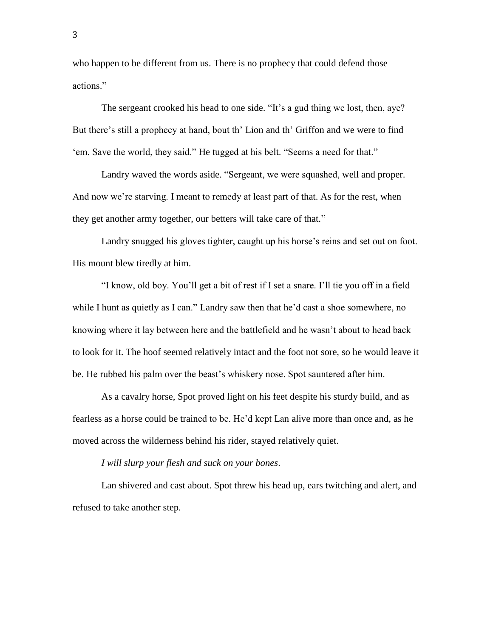who happen to be different from us. There is no prophecy that could defend those actions."

The sergeant crooked his head to one side. "It's a gud thing we lost, then, aye? But there's still a prophecy at hand, bout th' Lion and th' Griffon and we were to find 'em. Save the world, they said." He tugged at his belt. "Seems a need for that."

Landry waved the words aside. "Sergeant, we were squashed, well and proper. And now we're starving. I meant to remedy at least part of that. As for the rest, when they get another army together, our betters will take care of that."

Landry snugged his gloves tighter, caught up his horse's reins and set out on foot. His mount blew tiredly at him.

"I know, old boy. You'll get a bit of rest if I set a snare. I'll tie you off in a field while I hunt as quietly as I can." Landry saw then that he'd cast a shoe somewhere, no knowing where it lay between here and the battlefield and he wasn't about to head back to look for it. The hoof seemed relatively intact and the foot not sore, so he would leave it be. He rubbed his palm over the beast's whiskery nose. Spot sauntered after him.

As a cavalry horse, Spot proved light on his feet despite his sturdy build, and as fearless as a horse could be trained to be. He'd kept Lan alive more than once and, as he moved across the wilderness behind his rider, stayed relatively quiet.

*I will slurp your flesh and suck on your bones*.

Lan shivered and cast about. Spot threw his head up, ears twitching and alert, and refused to take another step.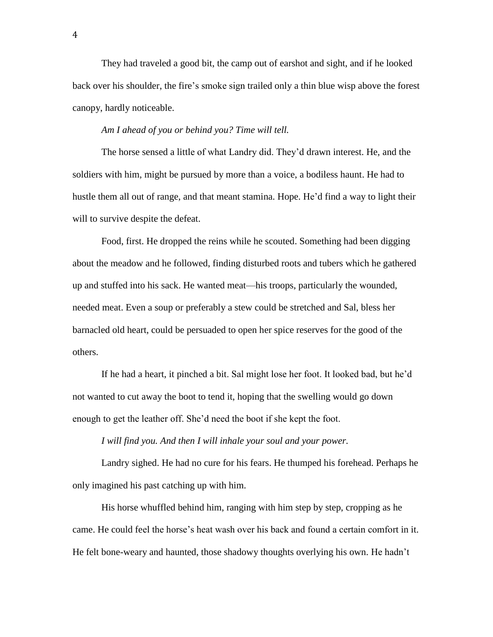They had traveled a good bit, the camp out of earshot and sight, and if he looked back over his shoulder, the fire's smoke sign trailed only a thin blue wisp above the forest canopy, hardly noticeable.

## *Am I ahead of you or behind you? Time will tell.*

The horse sensed a little of what Landry did. They'd drawn interest. He, and the soldiers with him, might be pursued by more than a voice, a bodiless haunt. He had to hustle them all out of range, and that meant stamina. Hope. He'd find a way to light their will to survive despite the defeat.

Food, first. He dropped the reins while he scouted. Something had been digging about the meadow and he followed, finding disturbed roots and tubers which he gathered up and stuffed into his sack. He wanted meat—his troops, particularly the wounded, needed meat. Even a soup or preferably a stew could be stretched and Sal, bless her barnacled old heart, could be persuaded to open her spice reserves for the good of the others.

If he had a heart, it pinched a bit. Sal might lose her foot. It looked bad, but he'd not wanted to cut away the boot to tend it, hoping that the swelling would go down enough to get the leather off. She'd need the boot if she kept the foot.

## *I will find you. And then I will inhale your soul and your power.*

Landry sighed. He had no cure for his fears. He thumped his forehead. Perhaps he only imagined his past catching up with him.

His horse whuffled behind him, ranging with him step by step, cropping as he came. He could feel the horse's heat wash over his back and found a certain comfort in it. He felt bone-weary and haunted, those shadowy thoughts overlying his own. He hadn't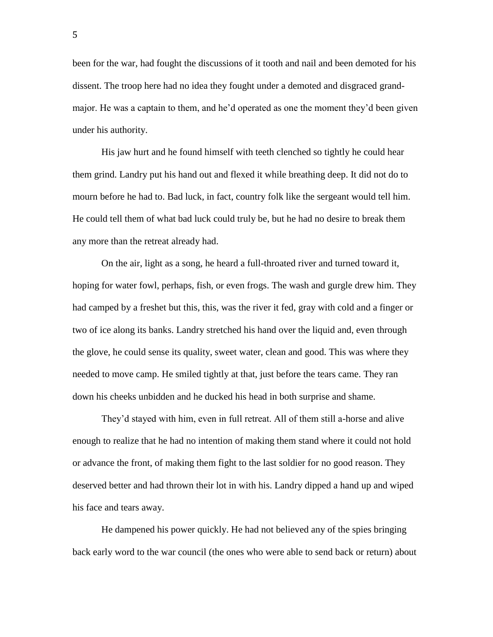been for the war, had fought the discussions of it tooth and nail and been demoted for his dissent. The troop here had no idea they fought under a demoted and disgraced grandmajor. He was a captain to them, and he'd operated as one the moment they'd been given under his authority.

His jaw hurt and he found himself with teeth clenched so tightly he could hear them grind. Landry put his hand out and flexed it while breathing deep. It did not do to mourn before he had to. Bad luck, in fact, country folk like the sergeant would tell him. He could tell them of what bad luck could truly be, but he had no desire to break them any more than the retreat already had.

On the air, light as a song, he heard a full-throated river and turned toward it, hoping for water fowl, perhaps, fish, or even frogs. The wash and gurgle drew him. They had camped by a freshet but this, this, was the river it fed, gray with cold and a finger or two of ice along its banks. Landry stretched his hand over the liquid and, even through the glove, he could sense its quality, sweet water, clean and good. This was where they needed to move camp. He smiled tightly at that, just before the tears came. They ran down his cheeks unbidden and he ducked his head in both surprise and shame.

They'd stayed with him, even in full retreat. All of them still a-horse and alive enough to realize that he had no intention of making them stand where it could not hold or advance the front, of making them fight to the last soldier for no good reason. They deserved better and had thrown their lot in with his. Landry dipped a hand up and wiped his face and tears away.

He dampened his power quickly. He had not believed any of the spies bringing back early word to the war council (the ones who were able to send back or return) about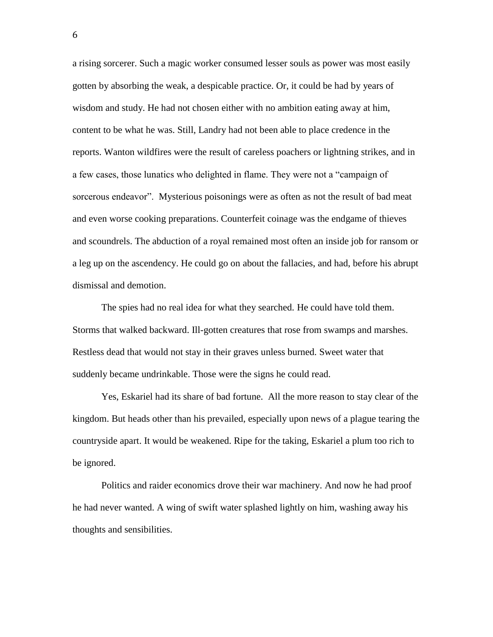a rising sorcerer. Such a magic worker consumed lesser souls as power was most easily gotten by absorbing the weak, a despicable practice. Or, it could be had by years of wisdom and study. He had not chosen either with no ambition eating away at him, content to be what he was. Still, Landry had not been able to place credence in the reports. Wanton wildfires were the result of careless poachers or lightning strikes, and in a few cases, those lunatics who delighted in flame. They were not a "campaign of sorcerous endeavor". Mysterious poisonings were as often as not the result of bad meat and even worse cooking preparations. Counterfeit coinage was the endgame of thieves and scoundrels. The abduction of a royal remained most often an inside job for ransom or a leg up on the ascendency. He could go on about the fallacies, and had, before his abrupt dismissal and demotion.

The spies had no real idea for what they searched. He could have told them. Storms that walked backward. Ill-gotten creatures that rose from swamps and marshes. Restless dead that would not stay in their graves unless burned. Sweet water that suddenly became undrinkable. Those were the signs he could read.

Yes, Eskariel had its share of bad fortune. All the more reason to stay clear of the kingdom. But heads other than his prevailed, especially upon news of a plague tearing the countryside apart. It would be weakened. Ripe for the taking, Eskariel a plum too rich to be ignored.

Politics and raider economics drove their war machinery. And now he had proof he had never wanted. A wing of swift water splashed lightly on him, washing away his thoughts and sensibilities.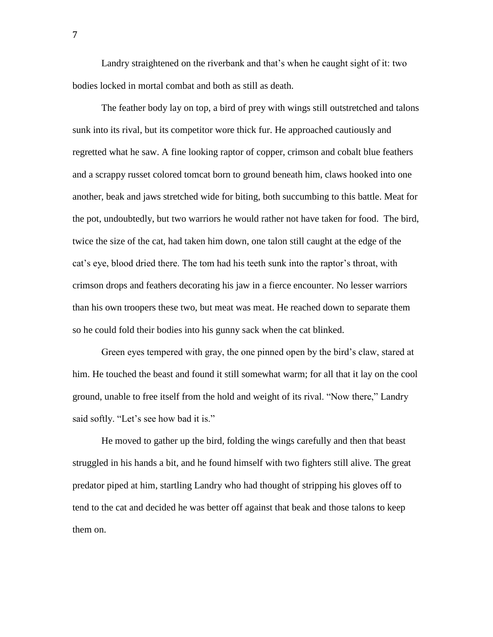Landry straightened on the riverbank and that's when he caught sight of it: two bodies locked in mortal combat and both as still as death.

The feather body lay on top, a bird of prey with wings still outstretched and talons sunk into its rival, but its competitor wore thick fur. He approached cautiously and regretted what he saw. A fine looking raptor of copper, crimson and cobalt blue feathers and a scrappy russet colored tomcat born to ground beneath him, claws hooked into one another, beak and jaws stretched wide for biting, both succumbing to this battle. Meat for the pot, undoubtedly, but two warriors he would rather not have taken for food. The bird, twice the size of the cat, had taken him down, one talon still caught at the edge of the cat's eye, blood dried there. The tom had his teeth sunk into the raptor's throat, with crimson drops and feathers decorating his jaw in a fierce encounter. No lesser warriors than his own troopers these two, but meat was meat. He reached down to separate them so he could fold their bodies into his gunny sack when the cat blinked.

Green eyes tempered with gray, the one pinned open by the bird's claw, stared at him. He touched the beast and found it still somewhat warm; for all that it lay on the cool ground, unable to free itself from the hold and weight of its rival. "Now there," Landry said softly. "Let's see how bad it is."

He moved to gather up the bird, folding the wings carefully and then that beast struggled in his hands a bit, and he found himself with two fighters still alive. The great predator piped at him, startling Landry who had thought of stripping his gloves off to tend to the cat and decided he was better off against that beak and those talons to keep them on.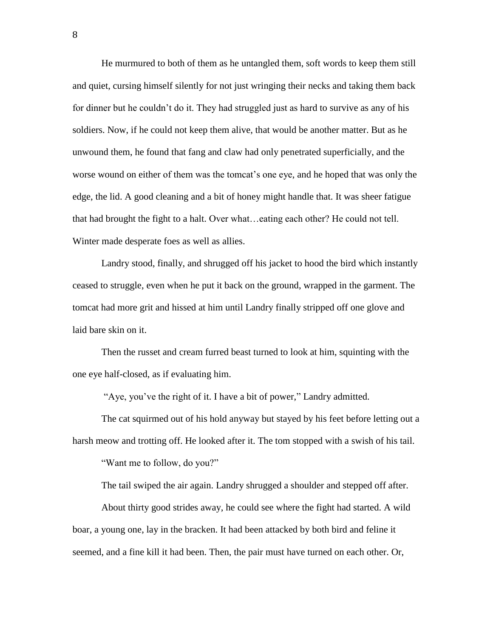He murmured to both of them as he untangled them, soft words to keep them still and quiet, cursing himself silently for not just wringing their necks and taking them back for dinner but he couldn't do it. They had struggled just as hard to survive as any of his soldiers. Now, if he could not keep them alive, that would be another matter. But as he unwound them, he found that fang and claw had only penetrated superficially, and the worse wound on either of them was the tomcat's one eye, and he hoped that was only the edge, the lid. A good cleaning and a bit of honey might handle that. It was sheer fatigue that had brought the fight to a halt. Over what…eating each other? He could not tell. Winter made desperate foes as well as allies.

Landry stood, finally, and shrugged off his jacket to hood the bird which instantly ceased to struggle, even when he put it back on the ground, wrapped in the garment. The tomcat had more grit and hissed at him until Landry finally stripped off one glove and laid bare skin on it.

Then the russet and cream furred beast turned to look at him, squinting with the one eye half-closed, as if evaluating him.

"Aye, you've the right of it. I have a bit of power," Landry admitted.

The cat squirmed out of his hold anyway but stayed by his feet before letting out a harsh meow and trotting off. He looked after it. The tom stopped with a swish of his tail.

"Want me to follow, do you?"

The tail swiped the air again. Landry shrugged a shoulder and stepped off after.

About thirty good strides away, he could see where the fight had started. A wild boar, a young one, lay in the bracken. It had been attacked by both bird and feline it seemed, and a fine kill it had been. Then, the pair must have turned on each other. Or,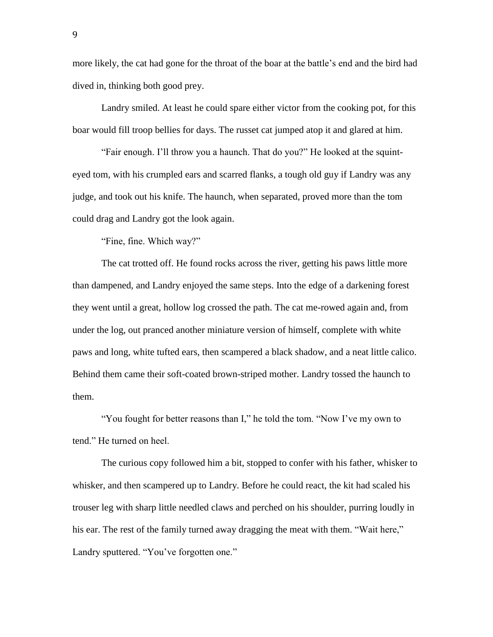more likely, the cat had gone for the throat of the boar at the battle's end and the bird had dived in, thinking both good prey.

Landry smiled. At least he could spare either victor from the cooking pot, for this boar would fill troop bellies for days. The russet cat jumped atop it and glared at him.

"Fair enough. I'll throw you a haunch. That do you?" He looked at the squinteyed tom, with his crumpled ears and scarred flanks, a tough old guy if Landry was any judge, and took out his knife. The haunch, when separated, proved more than the tom could drag and Landry got the look again.

"Fine, fine. Which way?"

The cat trotted off. He found rocks across the river, getting his paws little more than dampened, and Landry enjoyed the same steps. Into the edge of a darkening forest they went until a great, hollow log crossed the path. The cat me-rowed again and, from under the log, out pranced another miniature version of himself, complete with white paws and long, white tufted ears, then scampered a black shadow, and a neat little calico. Behind them came their soft-coated brown-striped mother. Landry tossed the haunch to them.

"You fought for better reasons than I," he told the tom. "Now I've my own to tend." He turned on heel.

The curious copy followed him a bit, stopped to confer with his father, whisker to whisker, and then scampered up to Landry. Before he could react, the kit had scaled his trouser leg with sharp little needled claws and perched on his shoulder, purring loudly in his ear. The rest of the family turned away dragging the meat with them. "Wait here," Landry sputtered. "You've forgotten one."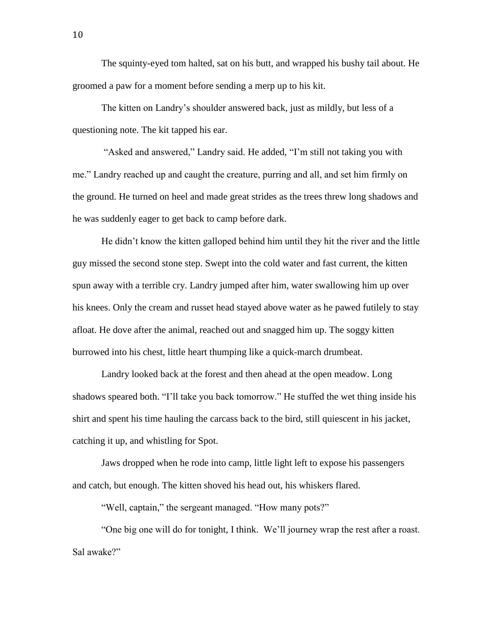The squinty-eyed tom halted, sat on his butt, and wrapped his bushy tail about. He groomed a paw for a moment before sending a merp up to his kit.

The kitten on Landry's shoulder answered back, just as mildly, but less of a questioning note. The kit tapped his ear.

"Asked and answered," Landry said. He added, "I'm still not taking you with me." Landry reached up and caught the creature, purring and all, and set him firmly on the ground. He turned on heel and made great strides as the trees threw long shadows and he was suddenly eager to get back to camp before dark.

He didn't know the kitten galloped behind him until they hit the river and the little guy missed the second stone step. Swept into the cold water and fast current, the kitten spun away with a terrible cry. Landry jumped after him, water swallowing him up over his knees. Only the cream and russet head stayed above water as he pawed futilely to stay afloat. He dove after the animal, reached out and snagged him up. The soggy kitten burrowed into his chest, little heart thumping like a quick-march drumbeat.

Landry looked back at the forest and then ahead at the open meadow. Long shadows speared both. "I'll take you back tomorrow." He stuffed the wet thing inside his shirt and spent his time hauling the carcass back to the bird, still quiescent in his jacket, catching it up, and whistling for Spot.

Jaws dropped when he rode into camp, little light left to expose his passengers and catch, but enough. The kitten shoved his head out, his whiskers flared.

"Well, captain," the sergeant managed. "How many pots?"

"One big one will do for tonight, I think. We'll journey wrap the rest after a roast. Sal awake?"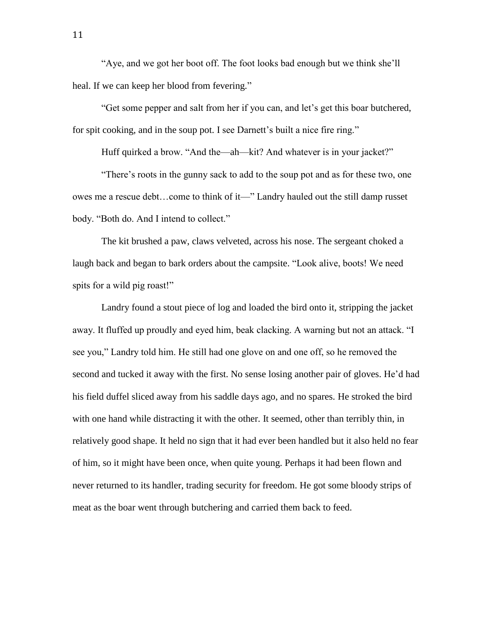"Aye, and we got her boot off. The foot looks bad enough but we think she'll heal. If we can keep her blood from fevering."

"Get some pepper and salt from her if you can, and let's get this boar butchered, for spit cooking, and in the soup pot. I see Darnett's built a nice fire ring."

Huff quirked a brow. "And the—ah—kit? And whatever is in your jacket?"

"There's roots in the gunny sack to add to the soup pot and as for these two, one owes me a rescue debt…come to think of it—" Landry hauled out the still damp russet body. "Both do. And I intend to collect."

The kit brushed a paw, claws velveted, across his nose. The sergeant choked a laugh back and began to bark orders about the campsite. "Look alive, boots! We need spits for a wild pig roast!"

Landry found a stout piece of log and loaded the bird onto it, stripping the jacket away. It fluffed up proudly and eyed him, beak clacking. A warning but not an attack. "I see you," Landry told him. He still had one glove on and one off, so he removed the second and tucked it away with the first. No sense losing another pair of gloves. He'd had his field duffel sliced away from his saddle days ago, and no spares. He stroked the bird with one hand while distracting it with the other. It seemed, other than terribly thin, in relatively good shape. It held no sign that it had ever been handled but it also held no fear of him, so it might have been once, when quite young. Perhaps it had been flown and never returned to its handler, trading security for freedom. He got some bloody strips of meat as the boar went through butchering and carried them back to feed.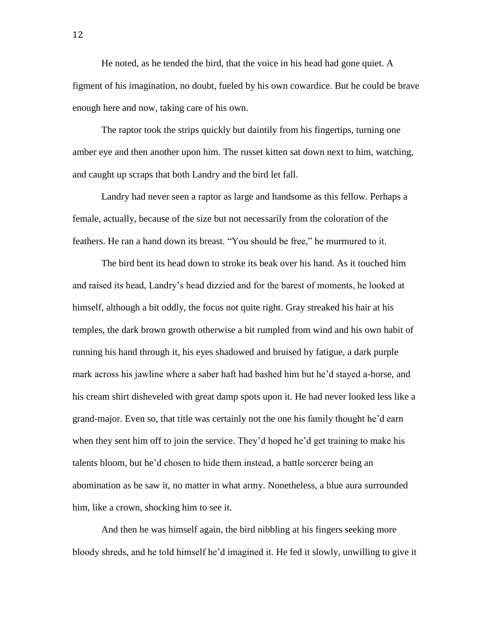He noted, as he tended the bird, that the voice in his head had gone quiet. A figment of his imagination, no doubt, fueled by his own cowardice. But he could be brave enough here and now, taking care of his own.

The raptor took the strips quickly but daintily from his fingertips, turning one amber eye and then another upon him. The russet kitten sat down next to him, watching, and caught up scraps that both Landry and the bird let fall.

Landry had never seen a raptor as large and handsome as this fellow. Perhaps a female, actually, because of the size but not necessarily from the coloration of the feathers. He ran a hand down its breast. "You should be free," he murmured to it.

The bird bent its head down to stroke its beak over his hand. As it touched him and raised its head, Landry's head dizzied and for the barest of moments, he looked at himself, although a bit oddly, the focus not quite right. Gray streaked his hair at his temples, the dark brown growth otherwise a bit rumpled from wind and his own habit of running his hand through it, his eyes shadowed and bruised by fatigue, a dark purple mark across his jawline where a saber haft had bashed him but he'd stayed a-horse, and his cream shirt disheveled with great damp spots upon it. He had never looked less like a grand-major. Even so, that title was certainly not the one his family thought he'd earn when they sent him off to join the service. They'd hoped he'd get training to make his talents bloom, but he'd chosen to hide them instead, a battle sorcerer being an abomination as he saw it, no matter in what army. Nonetheless, a blue aura surrounded him, like a crown, shocking him to see it.

And then he was himself again, the bird nibbling at his fingers seeking more bloody shreds, and he told himself he'd imagined it. He fed it slowly, unwilling to give it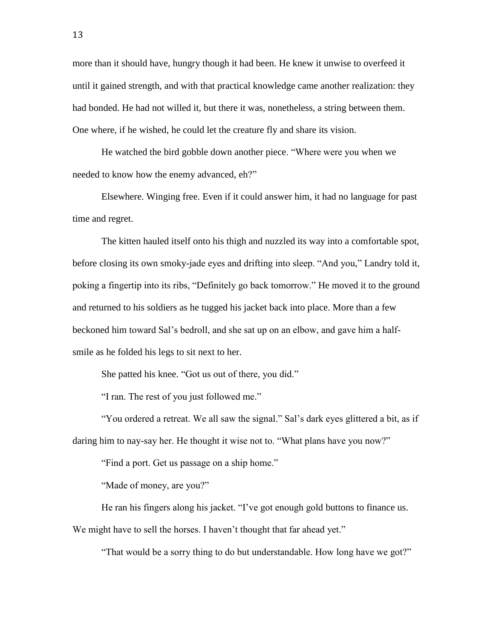more than it should have, hungry though it had been. He knew it unwise to overfeed it until it gained strength, and with that practical knowledge came another realization: they had bonded. He had not willed it, but there it was, nonetheless, a string between them. One where, if he wished, he could let the creature fly and share its vision.

He watched the bird gobble down another piece. "Where were you when we needed to know how the enemy advanced, eh?"

Elsewhere. Winging free. Even if it could answer him, it had no language for past time and regret.

The kitten hauled itself onto his thigh and nuzzled its way into a comfortable spot, before closing its own smoky-jade eyes and drifting into sleep. "And you," Landry told it, poking a fingertip into its ribs, "Definitely go back tomorrow." He moved it to the ground and returned to his soldiers as he tugged his jacket back into place. More than a few beckoned him toward Sal's bedroll, and she sat up on an elbow, and gave him a halfsmile as he folded his legs to sit next to her.

She patted his knee. "Got us out of there, you did."

"I ran. The rest of you just followed me."

"You ordered a retreat. We all saw the signal." Sal's dark eyes glittered a bit, as if daring him to nay-say her. He thought it wise not to. "What plans have you now?"

"Find a port. Get us passage on a ship home."

"Made of money, are you?"

He ran his fingers along his jacket. "I've got enough gold buttons to finance us. We might have to sell the horses. I haven't thought that far ahead yet."

"That would be a sorry thing to do but understandable. How long have we got?"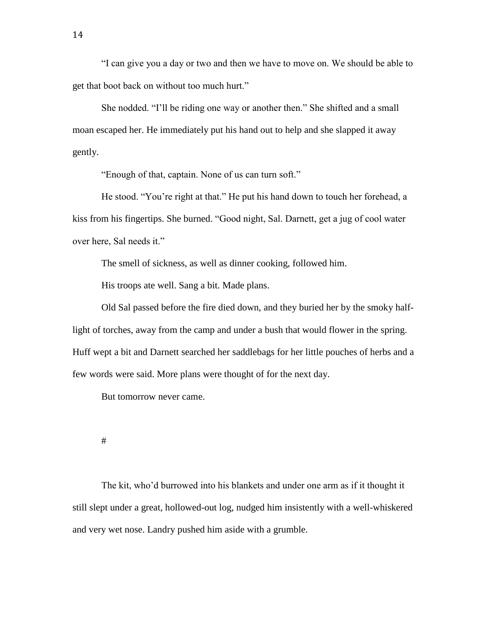"I can give you a day or two and then we have to move on. We should be able to get that boot back on without too much hurt."

She nodded. "I'll be riding one way or another then." She shifted and a small moan escaped her. He immediately put his hand out to help and she slapped it away gently.

"Enough of that, captain. None of us can turn soft."

He stood. "You're right at that." He put his hand down to touch her forehead, a kiss from his fingertips. She burned. "Good night, Sal. Darnett, get a jug of cool water over here, Sal needs it."

The smell of sickness, as well as dinner cooking, followed him.

His troops ate well. Sang a bit. Made plans.

Old Sal passed before the fire died down, and they buried her by the smoky halflight of torches, away from the camp and under a bush that would flower in the spring. Huff wept a bit and Darnett searched her saddlebags for her little pouches of herbs and a few words were said. More plans were thought of for the next day.

But tomorrow never came.

#

The kit, who'd burrowed into his blankets and under one arm as if it thought it still slept under a great, hollowed-out log, nudged him insistently with a well-whiskered and very wet nose. Landry pushed him aside with a grumble.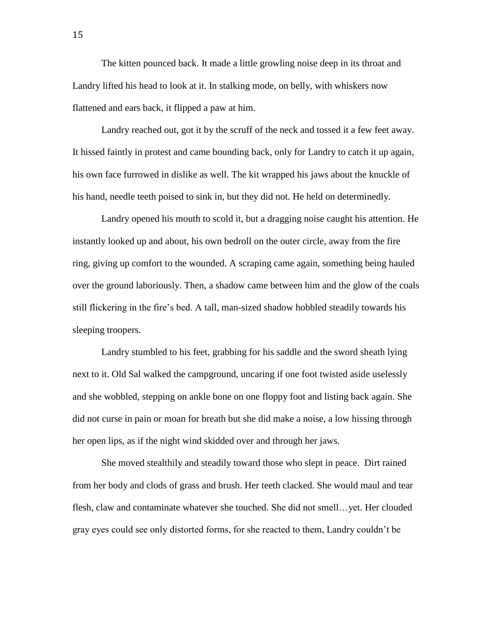The kitten pounced back. It made a little growling noise deep in its throat and Landry lifted his head to look at it. In stalking mode, on belly, with whiskers now flattened and ears back, it flipped a paw at him.

Landry reached out, got it by the scruff of the neck and tossed it a few feet away. It hissed faintly in protest and came bounding back, only for Landry to catch it up again, his own face furrowed in dislike as well. The kit wrapped his jaws about the knuckle of his hand, needle teeth poised to sink in, but they did not. He held on determinedly.

Landry opened his mouth to scold it, but a dragging noise caught his attention. He instantly looked up and about, his own bedroll on the outer circle, away from the fire ring, giving up comfort to the wounded. A scraping came again, something being hauled over the ground laboriously. Then, a shadow came between him and the glow of the coals still flickering in the fire's bed. A tall, man-sized shadow hobbled steadily towards his sleeping troopers.

Landry stumbled to his feet, grabbing for his saddle and the sword sheath lying next to it. Old Sal walked the campground, uncaring if one foot twisted aside uselessly and she wobbled, stepping on ankle bone on one floppy foot and listing back again. She did not curse in pain or moan for breath but she did make a noise, a low hissing through her open lips, as if the night wind skidded over and through her jaws.

She moved stealthily and steadily toward those who slept in peace. Dirt rained from her body and clods of grass and brush. Her teeth clacked. She would maul and tear flesh, claw and contaminate whatever she touched. She did not smell…yet. Her clouded gray eyes could see only distorted forms, for she reacted to them, Landry couldn't be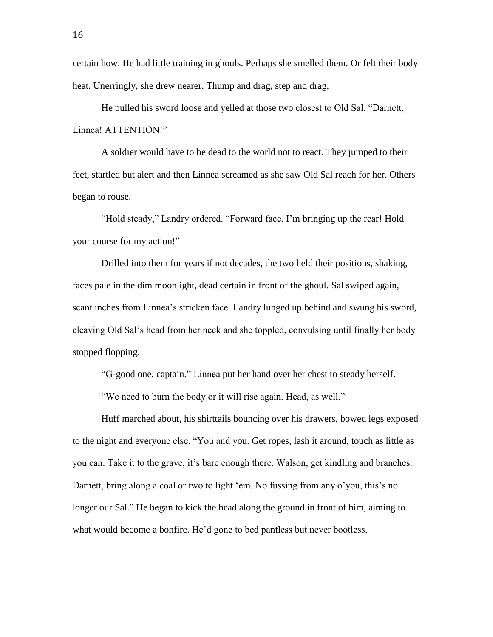certain how. He had little training in ghouls. Perhaps she smelled them. Or felt their body heat. Unerringly, she drew nearer. Thump and drag, step and drag.

He pulled his sword loose and yelled at those two closest to Old Sal. "Darnett, Linnea! ATTENTION!"

A soldier would have to be dead to the world not to react. They jumped to their feet, startled but alert and then Linnea screamed as she saw Old Sal reach for her. Others began to rouse.

"Hold steady," Landry ordered. "Forward face, I'm bringing up the rear! Hold your course for my action!"

Drilled into them for years if not decades, the two held their positions, shaking, faces pale in the dim moonlight, dead certain in front of the ghoul. Sal swiped again, scant inches from Linnea's stricken face. Landry lunged up behind and swung his sword, cleaving Old Sal's head from her neck and she toppled, convulsing until finally her body stopped flopping.

"G-good one, captain." Linnea put her hand over her chest to steady herself.

"We need to burn the body or it will rise again. Head, as well."

Huff marched about, his shirttails bouncing over his drawers, bowed legs exposed to the night and everyone else. "You and you. Get ropes, lash it around, touch as little as you can. Take it to the grave, it's bare enough there. Walson, get kindling and branches. Darnett, bring along a coal or two to light 'em. No fussing from any o'you, this's no longer our Sal." He began to kick the head along the ground in front of him, aiming to what would become a bonfire. He'd gone to bed pantless but never bootless.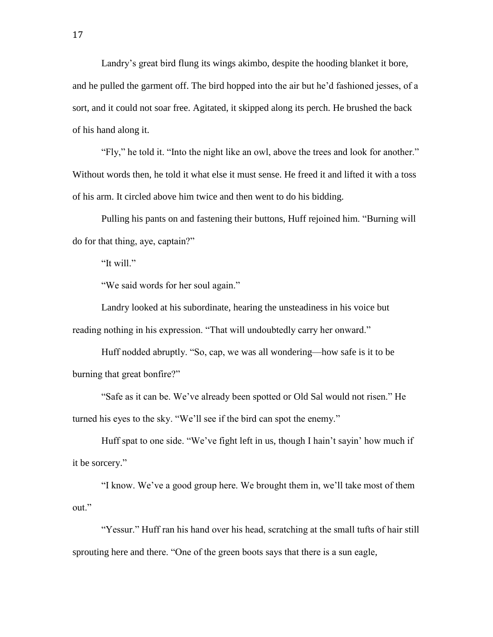Landry's great bird flung its wings akimbo, despite the hooding blanket it bore, and he pulled the garment off. The bird hopped into the air but he'd fashioned jesses, of a sort, and it could not soar free. Agitated, it skipped along its perch. He brushed the back of his hand along it.

"Fly," he told it. "Into the night like an owl, above the trees and look for another." Without words then, he told it what else it must sense. He freed it and lifted it with a toss of his arm. It circled above him twice and then went to do his bidding.

Pulling his pants on and fastening their buttons, Huff rejoined him. "Burning will do for that thing, aye, captain?"

"It will."

"We said words for her soul again."

Landry looked at his subordinate, hearing the unsteadiness in his voice but reading nothing in his expression. "That will undoubtedly carry her onward."

Huff nodded abruptly. "So, cap, we was all wondering—how safe is it to be burning that great bonfire?"

"Safe as it can be. We've already been spotted or Old Sal would not risen." He turned his eyes to the sky. "We'll see if the bird can spot the enemy."

Huff spat to one side. "We've fight left in us, though I hain't sayin' how much if it be sorcery."

"I know. We've a good group here. We brought them in, we'll take most of them out."

"Yessur." Huff ran his hand over his head, scratching at the small tufts of hair still sprouting here and there. "One of the green boots says that there is a sun eagle,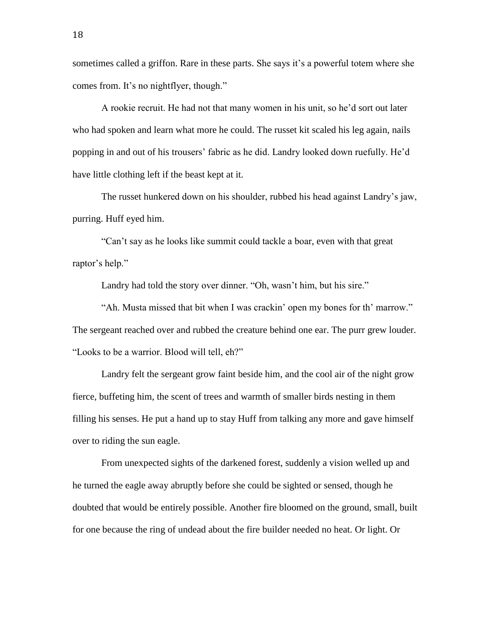sometimes called a griffon. Rare in these parts. She says it's a powerful totem where she comes from. It's no nightflyer, though."

A rookie recruit. He had not that many women in his unit, so he'd sort out later who had spoken and learn what more he could. The russet kit scaled his leg again, nails popping in and out of his trousers' fabric as he did. Landry looked down ruefully. He'd have little clothing left if the beast kept at it.

The russet hunkered down on his shoulder, rubbed his head against Landry's jaw, purring. Huff eyed him.

"Can't say as he looks like summit could tackle a boar, even with that great raptor's help."

Landry had told the story over dinner. "Oh, wasn't him, but his sire."

"Ah. Musta missed that bit when I was crackin' open my bones for th' marrow." The sergeant reached over and rubbed the creature behind one ear. The purr grew louder. "Looks to be a warrior. Blood will tell, eh?"

Landry felt the sergeant grow faint beside him, and the cool air of the night grow fierce, buffeting him, the scent of trees and warmth of smaller birds nesting in them filling his senses. He put a hand up to stay Huff from talking any more and gave himself over to riding the sun eagle.

From unexpected sights of the darkened forest, suddenly a vision welled up and he turned the eagle away abruptly before she could be sighted or sensed, though he doubted that would be entirely possible. Another fire bloomed on the ground, small, built for one because the ring of undead about the fire builder needed no heat. Or light. Or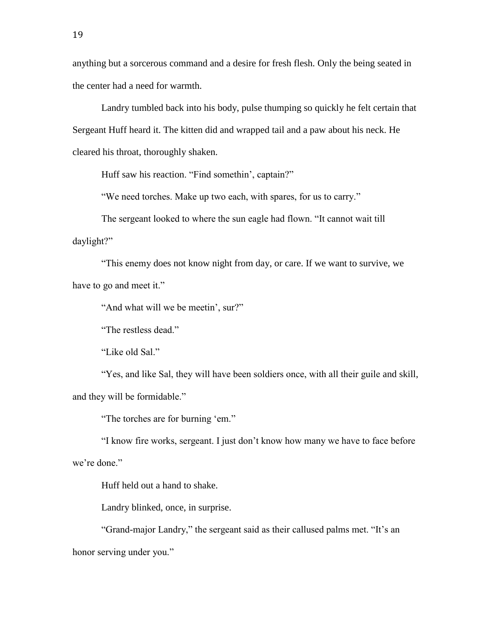anything but a sorcerous command and a desire for fresh flesh. Only the being seated in the center had a need for warmth.

Landry tumbled back into his body, pulse thumping so quickly he felt certain that Sergeant Huff heard it. The kitten did and wrapped tail and a paw about his neck. He cleared his throat, thoroughly shaken.

Huff saw his reaction. "Find somethin', captain?"

"We need torches. Make up two each, with spares, for us to carry."

The sergeant looked to where the sun eagle had flown. "It cannot wait till daylight?"

"This enemy does not know night from day, or care. If we want to survive, we have to go and meet it."

"And what will we be meetin', sur?"

"The restless dead."

"Like old Sal."

"Yes, and like Sal, they will have been soldiers once, with all their guile and skill, and they will be formidable."

"The torches are for burning 'em."

"I know fire works, sergeant. I just don't know how many we have to face before we're done."

Huff held out a hand to shake.

Landry blinked, once, in surprise.

"Grand-major Landry," the sergeant said as their callused palms met. "It's an honor serving under you."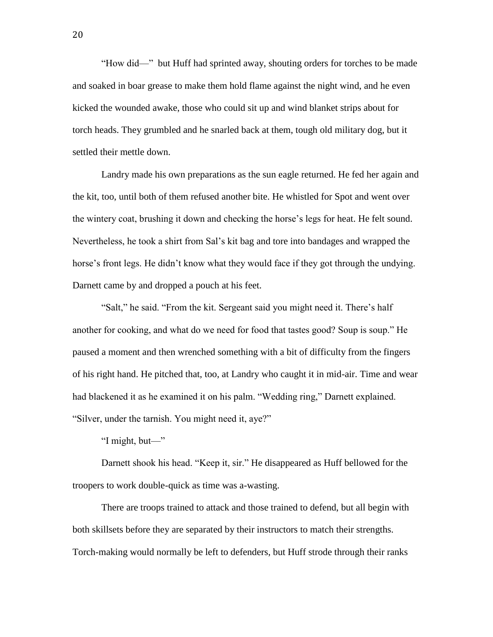"How did—" but Huff had sprinted away, shouting orders for torches to be made and soaked in boar grease to make them hold flame against the night wind, and he even kicked the wounded awake, those who could sit up and wind blanket strips about for torch heads. They grumbled and he snarled back at them, tough old military dog, but it settled their mettle down.

Landry made his own preparations as the sun eagle returned. He fed her again and the kit, too, until both of them refused another bite. He whistled for Spot and went over the wintery coat, brushing it down and checking the horse's legs for heat. He felt sound. Nevertheless, he took a shirt from Sal's kit bag and tore into bandages and wrapped the horse's front legs. He didn't know what they would face if they got through the undying. Darnett came by and dropped a pouch at his feet.

"Salt," he said. "From the kit. Sergeant said you might need it. There's half another for cooking, and what do we need for food that tastes good? Soup is soup." He paused a moment and then wrenched something with a bit of difficulty from the fingers of his right hand. He pitched that, too, at Landry who caught it in mid-air. Time and wear had blackened it as he examined it on his palm. "Wedding ring," Darnett explained. "Silver, under the tarnish. You might need it, aye?"

"I might, but—"

Darnett shook his head. "Keep it, sir." He disappeared as Huff bellowed for the troopers to work double-quick as time was a-wasting.

There are troops trained to attack and those trained to defend, but all begin with both skillsets before they are separated by their instructors to match their strengths. Torch-making would normally be left to defenders, but Huff strode through their ranks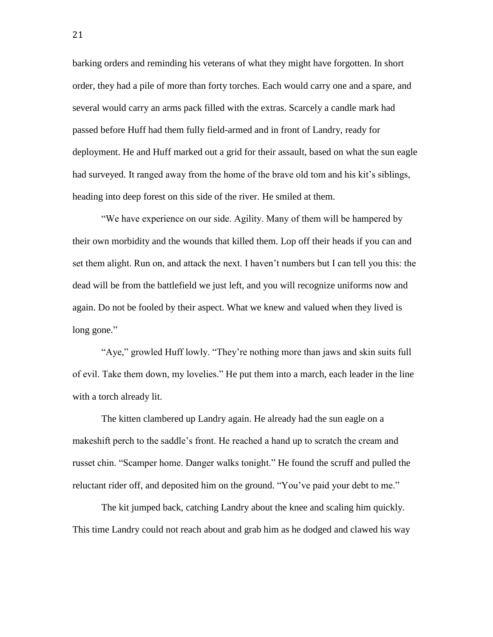barking orders and reminding his veterans of what they might have forgotten. In short order, they had a pile of more than forty torches. Each would carry one and a spare, and several would carry an arms pack filled with the extras. Scarcely a candle mark had passed before Huff had them fully field-armed and in front of Landry, ready for deployment. He and Huff marked out a grid for their assault, based on what the sun eagle had surveyed. It ranged away from the home of the brave old tom and his kit's siblings, heading into deep forest on this side of the river. He smiled at them.

"We have experience on our side. Agility. Many of them will be hampered by their own morbidity and the wounds that killed them. Lop off their heads if you can and set them alight. Run on, and attack the next. I haven't numbers but I can tell you this: the dead will be from the battlefield we just left, and you will recognize uniforms now and again. Do not be fooled by their aspect. What we knew and valued when they lived is long gone."

"Aye," growled Huff lowly. "They're nothing more than jaws and skin suits full of evil. Take them down, my lovelies." He put them into a march, each leader in the line with a torch already lit.

The kitten clambered up Landry again. He already had the sun eagle on a makeshift perch to the saddle's front. He reached a hand up to scratch the cream and russet chin. "Scamper home. Danger walks tonight." He found the scruff and pulled the reluctant rider off, and deposited him on the ground. "You've paid your debt to me."

The kit jumped back, catching Landry about the knee and scaling him quickly. This time Landry could not reach about and grab him as he dodged and clawed his way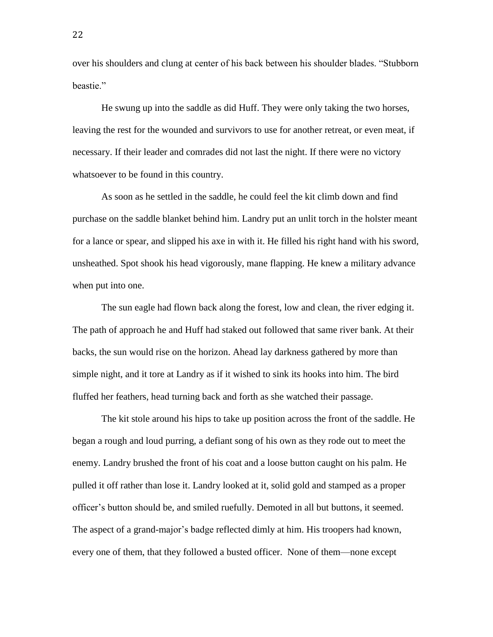over his shoulders and clung at center of his back between his shoulder blades. "Stubborn beastie."

He swung up into the saddle as did Huff. They were only taking the two horses, leaving the rest for the wounded and survivors to use for another retreat, or even meat, if necessary. If their leader and comrades did not last the night. If there were no victory whatsoever to be found in this country.

As soon as he settled in the saddle, he could feel the kit climb down and find purchase on the saddle blanket behind him. Landry put an unlit torch in the holster meant for a lance or spear, and slipped his axe in with it. He filled his right hand with his sword, unsheathed. Spot shook his head vigorously, mane flapping. He knew a military advance when put into one.

The sun eagle had flown back along the forest, low and clean, the river edging it. The path of approach he and Huff had staked out followed that same river bank. At their backs, the sun would rise on the horizon. Ahead lay darkness gathered by more than simple night, and it tore at Landry as if it wished to sink its hooks into him. The bird fluffed her feathers, head turning back and forth as she watched their passage.

The kit stole around his hips to take up position across the front of the saddle. He began a rough and loud purring, a defiant song of his own as they rode out to meet the enemy. Landry brushed the front of his coat and a loose button caught on his palm. He pulled it off rather than lose it. Landry looked at it, solid gold and stamped as a proper officer's button should be, and smiled ruefully. Demoted in all but buttons, it seemed. The aspect of a grand-major's badge reflected dimly at him. His troopers had known, every one of them, that they followed a busted officer. None of them—none except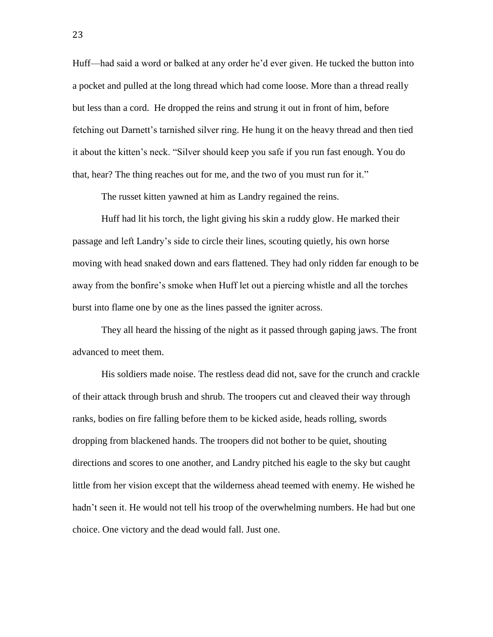Huff—had said a word or balked at any order he'd ever given. He tucked the button into a pocket and pulled at the long thread which had come loose. More than a thread really but less than a cord. He dropped the reins and strung it out in front of him, before fetching out Darnett's tarnished silver ring. He hung it on the heavy thread and then tied it about the kitten's neck. "Silver should keep you safe if you run fast enough. You do that, hear? The thing reaches out for me, and the two of you must run for it."

The russet kitten yawned at him as Landry regained the reins.

Huff had lit his torch, the light giving his skin a ruddy glow. He marked their passage and left Landry's side to circle their lines, scouting quietly, his own horse moving with head snaked down and ears flattened. They had only ridden far enough to be away from the bonfire's smoke when Huff let out a piercing whistle and all the torches burst into flame one by one as the lines passed the igniter across.

They all heard the hissing of the night as it passed through gaping jaws. The front advanced to meet them.

His soldiers made noise. The restless dead did not, save for the crunch and crackle of their attack through brush and shrub. The troopers cut and cleaved their way through ranks, bodies on fire falling before them to be kicked aside, heads rolling, swords dropping from blackened hands. The troopers did not bother to be quiet, shouting directions and scores to one another, and Landry pitched his eagle to the sky but caught little from her vision except that the wilderness ahead teemed with enemy. He wished he hadn't seen it. He would not tell his troop of the overwhelming numbers. He had but one choice. One victory and the dead would fall. Just one.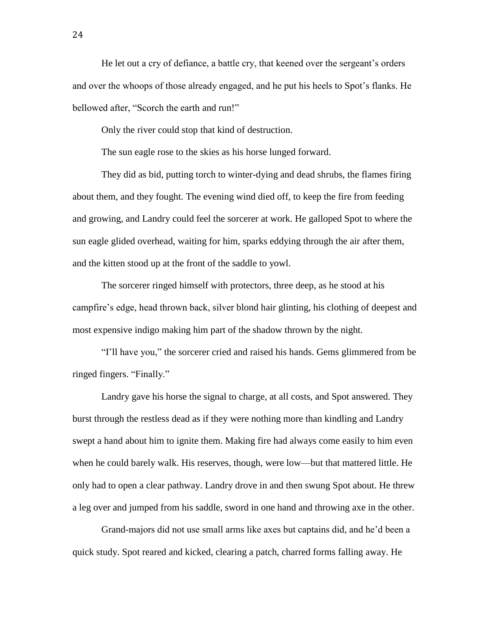He let out a cry of defiance, a battle cry, that keened over the sergeant's orders and over the whoops of those already engaged, and he put his heels to Spot's flanks. He bellowed after, "Scorch the earth and run!"

Only the river could stop that kind of destruction.

The sun eagle rose to the skies as his horse lunged forward.

They did as bid, putting torch to winter-dying and dead shrubs, the flames firing about them, and they fought. The evening wind died off, to keep the fire from feeding and growing, and Landry could feel the sorcerer at work. He galloped Spot to where the sun eagle glided overhead, waiting for him, sparks eddying through the air after them, and the kitten stood up at the front of the saddle to yowl.

The sorcerer ringed himself with protectors, three deep, as he stood at his campfire's edge, head thrown back, silver blond hair glinting, his clothing of deepest and most expensive indigo making him part of the shadow thrown by the night.

"I'll have you," the sorcerer cried and raised his hands. Gems glimmered from be ringed fingers. "Finally."

Landry gave his horse the signal to charge, at all costs, and Spot answered. They burst through the restless dead as if they were nothing more than kindling and Landry swept a hand about him to ignite them. Making fire had always come easily to him even when he could barely walk. His reserves, though, were low—but that mattered little. He only had to open a clear pathway. Landry drove in and then swung Spot about. He threw a leg over and jumped from his saddle, sword in one hand and throwing axe in the other.

Grand-majors did not use small arms like axes but captains did, and he'd been a quick study. Spot reared and kicked, clearing a patch, charred forms falling away. He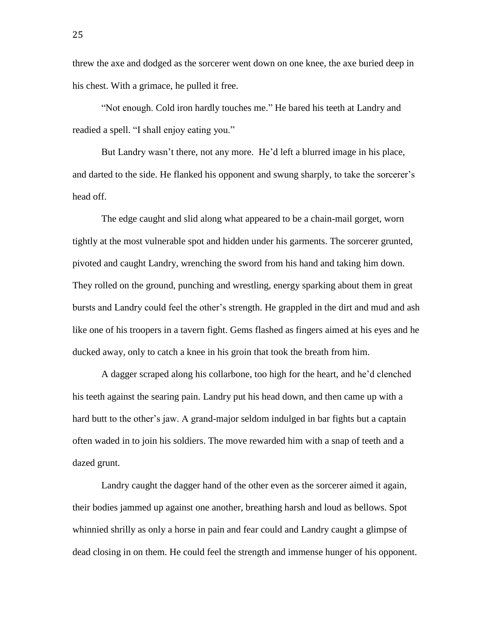threw the axe and dodged as the sorcerer went down on one knee, the axe buried deep in his chest. With a grimace, he pulled it free.

"Not enough. Cold iron hardly touches me." He bared his teeth at Landry and readied a spell. "I shall enjoy eating you."

But Landry wasn't there, not any more. He'd left a blurred image in his place, and darted to the side. He flanked his opponent and swung sharply, to take the sorcerer's head off.

The edge caught and slid along what appeared to be a chain-mail gorget, worn tightly at the most vulnerable spot and hidden under his garments. The sorcerer grunted, pivoted and caught Landry, wrenching the sword from his hand and taking him down. They rolled on the ground, punching and wrestling, energy sparking about them in great bursts and Landry could feel the other's strength. He grappled in the dirt and mud and ash like one of his troopers in a tavern fight. Gems flashed as fingers aimed at his eyes and he ducked away, only to catch a knee in his groin that took the breath from him.

A dagger scraped along his collarbone, too high for the heart, and he'd clenched his teeth against the searing pain. Landry put his head down, and then came up with a hard butt to the other's jaw. A grand-major seldom indulged in bar fights but a captain often waded in to join his soldiers. The move rewarded him with a snap of teeth and a dazed grunt.

Landry caught the dagger hand of the other even as the sorcerer aimed it again, their bodies jammed up against one another, breathing harsh and loud as bellows. Spot whinnied shrilly as only a horse in pain and fear could and Landry caught a glimpse of dead closing in on them. He could feel the strength and immense hunger of his opponent.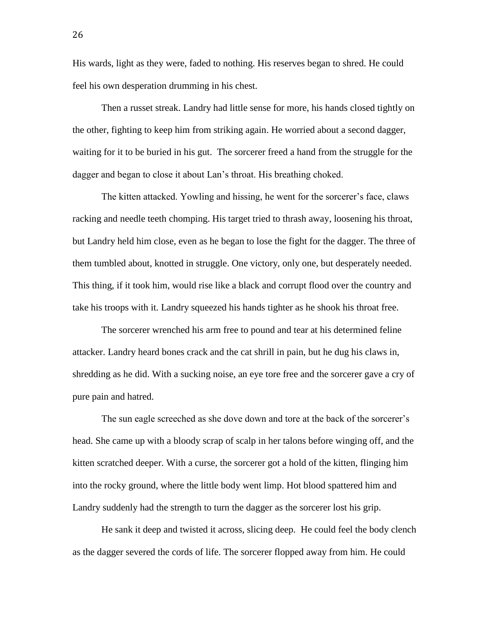His wards, light as they were, faded to nothing. His reserves began to shred. He could feel his own desperation drumming in his chest.

Then a russet streak. Landry had little sense for more, his hands closed tightly on the other, fighting to keep him from striking again. He worried about a second dagger, waiting for it to be buried in his gut. The sorcerer freed a hand from the struggle for the dagger and began to close it about Lan's throat. His breathing choked.

The kitten attacked. Yowling and hissing, he went for the sorcerer's face, claws racking and needle teeth chomping. His target tried to thrash away, loosening his throat, but Landry held him close, even as he began to lose the fight for the dagger. The three of them tumbled about, knotted in struggle. One victory, only one, but desperately needed. This thing, if it took him, would rise like a black and corrupt flood over the country and take his troops with it. Landry squeezed his hands tighter as he shook his throat free.

The sorcerer wrenched his arm free to pound and tear at his determined feline attacker. Landry heard bones crack and the cat shrill in pain, but he dug his claws in, shredding as he did. With a sucking noise, an eye tore free and the sorcerer gave a cry of pure pain and hatred.

The sun eagle screeched as she dove down and tore at the back of the sorcerer's head. She came up with a bloody scrap of scalp in her talons before winging off, and the kitten scratched deeper. With a curse, the sorcerer got a hold of the kitten, flinging him into the rocky ground, where the little body went limp. Hot blood spattered him and Landry suddenly had the strength to turn the dagger as the sorcerer lost his grip.

He sank it deep and twisted it across, slicing deep. He could feel the body clench as the dagger severed the cords of life. The sorcerer flopped away from him. He could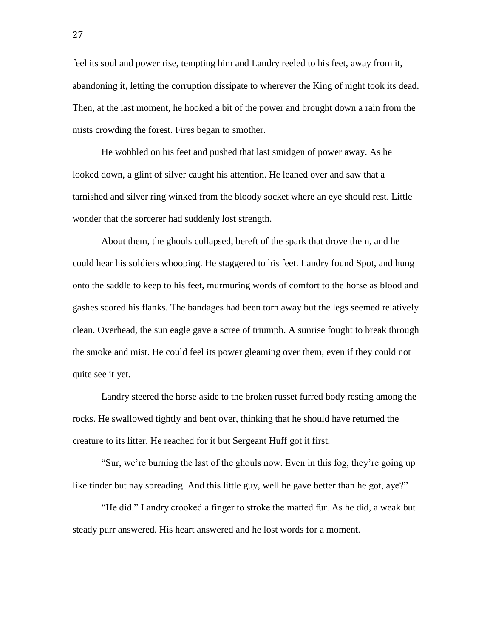feel its soul and power rise, tempting him and Landry reeled to his feet, away from it, abandoning it, letting the corruption dissipate to wherever the King of night took its dead. Then, at the last moment, he hooked a bit of the power and brought down a rain from the mists crowding the forest. Fires began to smother.

He wobbled on his feet and pushed that last smidgen of power away. As he looked down, a glint of silver caught his attention. He leaned over and saw that a tarnished and silver ring winked from the bloody socket where an eye should rest. Little wonder that the sorcerer had suddenly lost strength.

About them, the ghouls collapsed, bereft of the spark that drove them, and he could hear his soldiers whooping. He staggered to his feet. Landry found Spot, and hung onto the saddle to keep to his feet, murmuring words of comfort to the horse as blood and gashes scored his flanks. The bandages had been torn away but the legs seemed relatively clean. Overhead, the sun eagle gave a scree of triumph. A sunrise fought to break through the smoke and mist. He could feel its power gleaming over them, even if they could not quite see it yet.

Landry steered the horse aside to the broken russet furred body resting among the rocks. He swallowed tightly and bent over, thinking that he should have returned the creature to its litter. He reached for it but Sergeant Huff got it first.

"Sur, we're burning the last of the ghouls now. Even in this fog, they're going up like tinder but nay spreading. And this little guy, well he gave better than he got, aye?"

"He did." Landry crooked a finger to stroke the matted fur. As he did, a weak but steady purr answered. His heart answered and he lost words for a moment.